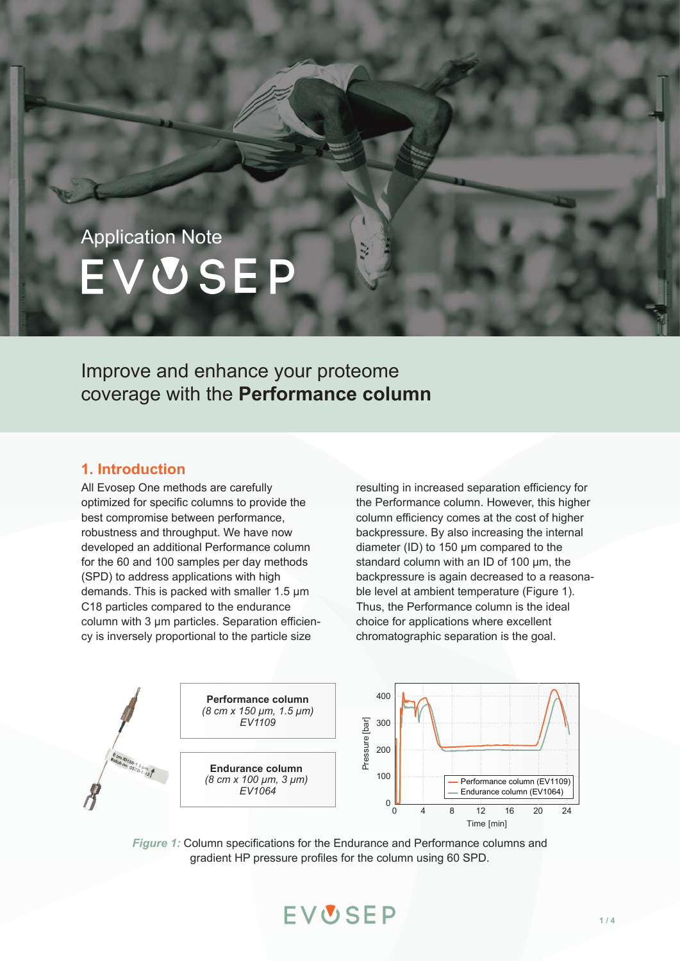# Application Note EVUSEP

Improve and enhance your proteome coverage with the **Performance column**

## **1. Introduction**

All Evosep One methods are carefully optimized for specific columns to provide the best compromise between performance, robustness and throughput. We have now developed an additional Performance column for the 60 and 100 samples per day methods (SPD) to address applications with high demands. This is packed with smaller 1.5 µm C18 particles compared to the endurance column with 3 µm particles. Separation efficiency is inversely proportional to the particle size

resulting in increased separation efficiency for the Performance column. However, this higher column efficiency comes at the cost of higher backpressure. By also increasing the internal diameter (ID) to 150 µm compared to the standard column with an ID of 100 µm, the backpressure is again decreased to a reasonable level at ambient temperature (Figure 1). Thus, the Performance column is the ideal choice for applications where excellent chromatographic separation is the goal.



*Figure 1:* Column specifications for the Endurance and Performance columns and gradient HP pressure profiles for the column using 60 SPD.

EVUSEP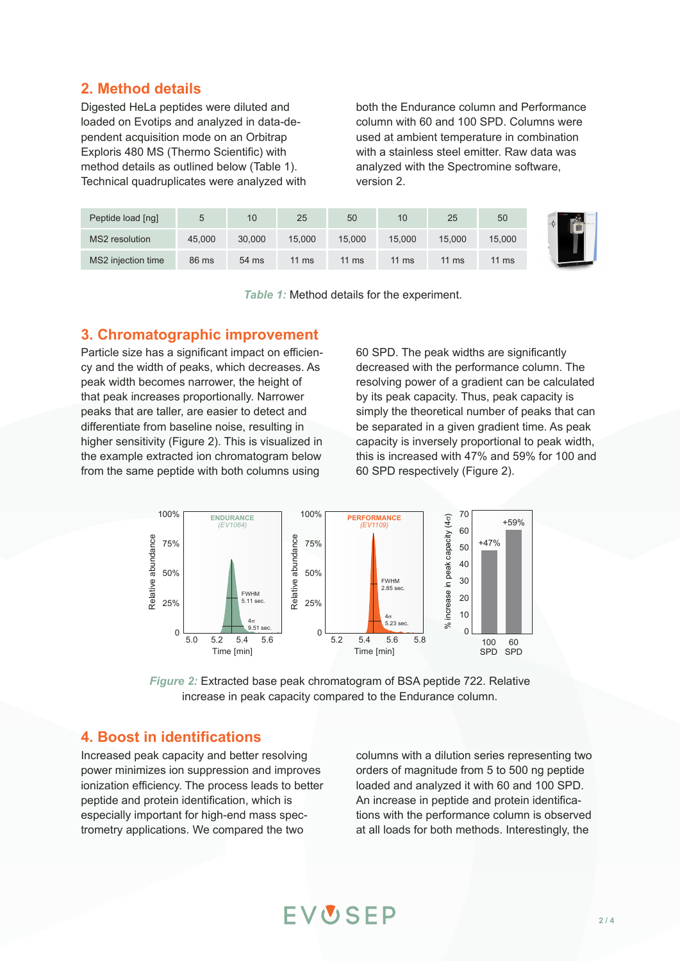## **2. Method details**

Digested HeLa peptides were diluted and loaded on Evotips and analyzed in data-dependent acquisition mode on an Orbitrap Exploris 480 MS (Thermo Scientific) with method details as outlined below (Table 1). Technical quadruplicates were analyzed with both the Endurance column and Performance column with 60 and 100 SPD. Columns were used at ambient temperature in combination with a stainless steel emitter. Raw data was analyzed with the Spectromine software, version 2.

| Peptide load [ng]  |        | 10     | 25              | 50     | 10              | 25     | 50              |  |
|--------------------|--------|--------|-----------------|--------|-----------------|--------|-----------------|--|
| MS2 resolution     | 45,000 | 30,000 | 15.000          | 15,000 | 15.000          | 15.000 | 15,000          |  |
| MS2 injection time | 86 ms  | 54 ms  | $11 \text{ ms}$ | 11 ms  | $11 \text{ ms}$ | 11 ms  | $11 \text{ ms}$ |  |

*Table 1:* Method details for the experiment.

### **3. Chromatographic improvement**

Particle size has a significant impact on efficiency and the width of peaks, which decreases. As peak width becomes narrower, the height of that peak increases proportionally. Narrower peaks that are taller, are easier to detect and differentiate from baseline noise, resulting in higher sensitivity (Figure 2). This is visualized in the example extracted ion chromatogram below from the same peptide with both columns using

60 SPD. The peak widths are significantly decreased with the performance column. The resolving power of a gradient can be calculated by its peak capacity. Thus, peak capacity is simply the theoretical number of peaks that can be separated in a given gradient time. As peak capacity is inversely proportional to peak width, this is increased with 47% and 59% for 100 and 60 SPD respectively (Figure 2).



*Figure 2:* Extracted base peak chromatogram of BSA peptide 722. Relative increase in peak capacity compared to the Endurance column.

EVUSEP

## **4. Boost in identifications**

Increased peak capacity and better resolving power minimizes ion suppression and improves ionization efficiency. The process leads to better peptide and protein identification, which is especially important for high-end mass spectrometry applications. We compared the two

columns with a dilution series representing two orders of magnitude from 5 to 500 ng peptide loaded and analyzed it with 60 and 100 SPD. An increase in peptide and protein identifications with the performance column is observed at all loads for both methods. Interestingly, the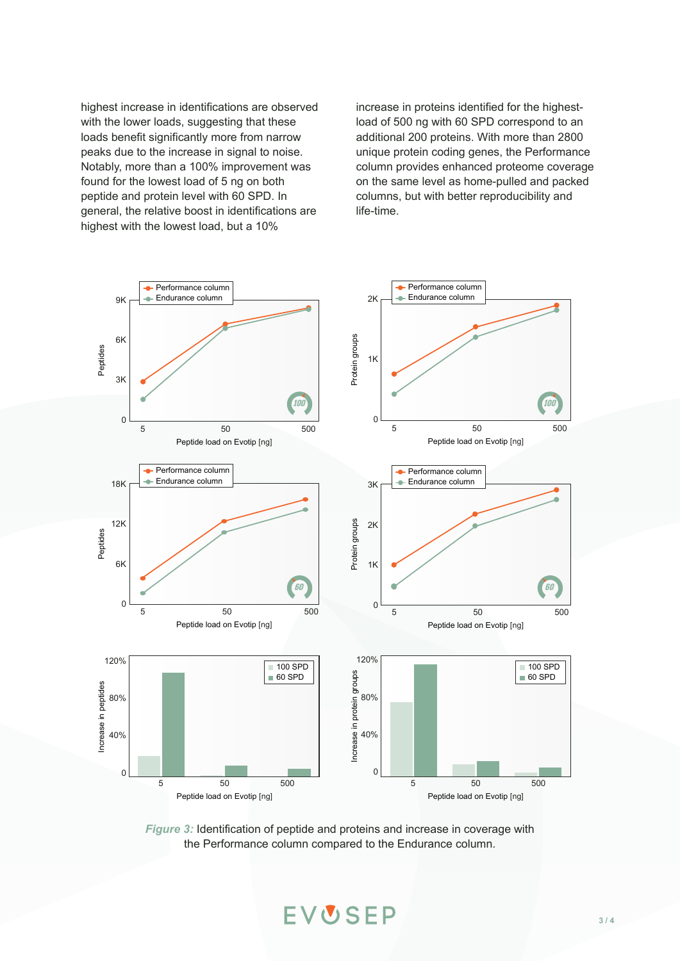highest increase in identifications are observed with the lower loads, suggesting that these loads benefit significantly more from narrow peaks due to the increase in signal to noise. Notably, more than a 100% improvement was found for the lowest load of 5 ng on both peptide and protein level with 60 SPD. In general, the relative boost in identifications are highest with the lowest load, but a 10%

increase in proteins identified for the highestload of 500 ng with 60 SPD correspond to an additional 200 proteins. With more than 2800 unique protein coding genes, the Performance column provides enhanced proteome coverage on the same level as home-pulled and packed columns, but with better reproducibility and life-time.



*Figure 3:* Identification of peptide and proteins and increase in coverage with the Performance column compared to the Endurance column.

EVUSEP